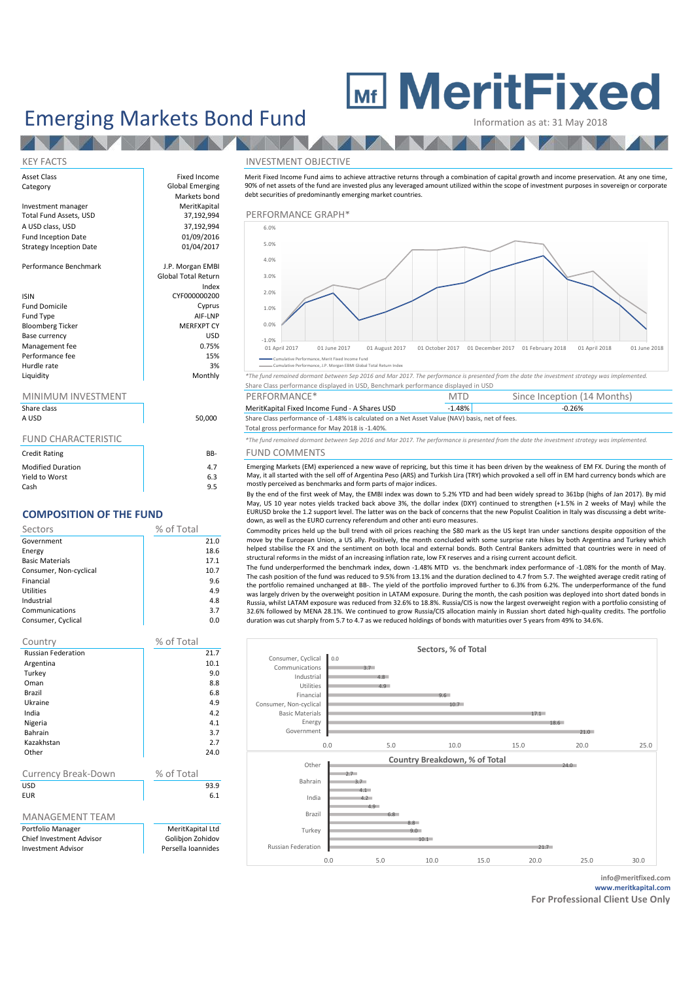## Emerging Markets Bond Fund Information as at: 31 May 2018

# **MeritFixed**

| Asset Class                    | Fixed Income               | Merit Fixed Incom  |
|--------------------------------|----------------------------|--------------------|
| Category                       | <b>Global Emerging</b>     | 90% of net assets  |
|                                | Markets bond               | debt securities of |
| Investment manager             | MeritKapital               |                    |
| Total Fund Assets, USD         | 37,192,994                 | PERFORMAI          |
| A USD class, USD               | 37,192,994                 | 6.0%               |
| <b>Fund Inception Date</b>     | 01/09/2016                 |                    |
| <b>Strategy Inception Date</b> | 01/04/2017                 | 5.0%               |
|                                |                            | 4.0%               |
| Performance Benchmark          | J.P. Morgan EMBI           |                    |
|                                | <b>Global Total Return</b> | 3.0%               |
|                                | Index                      |                    |
| <b>ISIN</b>                    | CYF000000200               | 2.0%               |
| <b>Fund Domicile</b>           | Cyprus                     | 1.0%               |
| Fund Type                      | AIF-LNP                    |                    |
| <b>Bloomberg Ticker</b>        | <b>MERFXPT CY</b>          | 0.0%               |
| Base currency                  | <b>USD</b>                 | $-1.0%$            |
| Management fee                 | 0.75%                      | 01 April 2017      |
| Performance fee                | 15%                        | Cumulative F       |
| Hurdle rate                    | 3%                         | Cumulative P       |

**TANKING** 

### MINIMUM INVESTMENT

| Share class              |        | MeritKapital Fixed Income Fund - A Shares USD                                                                                                     | $-1.48\%$ |  |
|--------------------------|--------|---------------------------------------------------------------------------------------------------------------------------------------------------|-----------|--|
| A USD                    | 50.000 | Share Class performance of -1.48% is calculated on a Net Asset Value (NAV) basis, net of fees.<br>Total gross performance for May 2018 is -1.40%. |           |  |
| FUND CHARACTERISTIC      |        | *The fund remained dormant between Sep 2016 and Mar 2017. The performance is presented from the                                                   |           |  |
| <b>Credit Rating</b>     | BB-    | <b>FUND COMMENTS</b>                                                                                                                              |           |  |
| <b>Modified Duration</b> | 4.7    | Emerging Markets (EM) experienced a new wave of repricing, but this time it has been drive                                                        |           |  |
| Yield to Worst           | 6.3    | May, it all started with the sell off of Argentina Peso (ARS) and Turkish Lira (TRY) which provo                                                  |           |  |

Cash 9.5

## **COMPOSITION OF THE FUND**

| Sectors                | % of Total |
|------------------------|------------|
| Government             | 21.0       |
| Energy                 | 18.6       |
| <b>Basic Materials</b> | 17.1       |
| Consumer, Non-cyclical | 10.7       |
| Financial              | 9.6        |
| Utilities              | 4.9        |
| Industrial             | 4.8        |
| Communications         | 3.7        |
| Consumer, Cyclical     | 0.0        |

| Country                         | % of Total                           |
|---------------------------------|--------------------------------------|
| <b>Russian Federation</b>       | 21.7                                 |
| Argentina                       | 10.1                                 |
| Turkey                          | 9.0                                  |
| Oman                            | 8.8                                  |
| Brazil                          | 6.8                                  |
| Ukraine                         | 4.9                                  |
| India                           | 42                                   |
| Nigeria                         | 4.1                                  |
| Bahrain                         | 3.7                                  |
| Kazakhstan                      | 2.7                                  |
| Other                           | 24.0                                 |
|                                 |                                      |
| <b>Currency Break-Down</b>      | % of Total                           |
| USD                             | 93.9                                 |
| <b>FUR</b>                      | 6.1                                  |
|                                 |                                      |
| MANAGEMENT TEAM                 |                                      |
| Portfolio Manager               |                                      |
| Persella Ioannides              |                                      |
|                                 |                                      |
| <b>Chief Investment Advisor</b> | MeritKapital Ltd<br>Golibjon Zohidov |

#### KEY FACTS INVESTMENT OBJECTIVE

Merit Fixed Income Fund aims to achieve attractive returns through a combination of capital growth and income preservation. At any one time, 90% of net assets of the fund are invested plus any leveraged amount utilized within the scope of investment purposes in sovereign or corporate debt securities of predominantly emerging market countries.

## $\frac{1}{22,994}$  PERFORMANCE GRAPH\*



Cumulative Performance, J.P. Morgan EBMI Global Total Return Index

Liquidity Monthly *\*The fund remained dormant between Sep 2016 and Mar 2017. The performance is presented from the date the investment strategy was implemented.* Share Class performance displayed in USD, Benchmark performance displayed in USD

| MINIMUM INVESTMENT |        | PERFORMANCE*                                                                                 | MTD  | Since Inception (14 Months) |  |
|--------------------|--------|----------------------------------------------------------------------------------------------|------|-----------------------------|--|
| Share class        |        | MeritKapital Fixed Income Fund - A Shares USD                                                | .48% | $-0.26%$                    |  |
| A LICO             | 50,000 | Share Class performance of 1,40% is calculated on a Net Asset Value (NAV) basis, not of foos |      |                             |  |

## Total gross performance for May 2018 is -1.40%.

\*The fund remained dormant between Sep 2016 and Mar 2017. The performance is presented from the date the investment strategy was implemented.

### B- FUND COMMENTS

Emerging Markets (EM) experienced a new wave of repricing, but this time it has been driven by the weakness of EM FX. During the month of May, it all started with the sell off of Argentina Peso (ARS) and Turkish Lira (TRY) which provoked a sell off in EM hard currency bonds which are mostly perceived as benchmarks and form parts of major indices.

By the end of the first week of May, the EMBI index was down to 5.2% YTD and had been widely spread to 361bp (highs of Jan 2017). By mid May, US 10 year notes yields tracked back above 3%, the dollar index (DXY) continued to strengthen (+1.5% in 2 weeks of May) while the EURUSD broke the 1.2 support level. The latter was on the back of concerns that the new Populist Coalition in Italy was discussing a debt writedown, as well as the EURO currency referendum and other anti euro measures.

Commodity prices held up the bull trend with oil prices reaching the \$80 mark as the US kept Iran under sanctions despite opposition of the move by the European Union, a US ally. Positively, the month concluded with some surprise rate hikes by both Argentina and Turkey which helped stabilise the FX and the sentiment on both local and external bonds. Both Central Bankers admitted that countries were in need of structural reforms in the midst of an increasing inflation rate, low FX reserves and a rising current account deficit.

The fund underperformed the benchmark index, down -1.48% MTD vs. the benchmark index performance of -1.08% for the month of May. The cash position of the fund was reduced to 9.5% from 13.1% and the duration declined to 4.7 from 5.7. The weighted average credit rating of the portfolio remained unchanged at BB-. The yield of the portfolio improved further to 6.3% from 6.2%. The underperformance of the fund was largely driven by the overweight position in LATAM exposure. During the month, the cash position was deployed into short dated bonds in Russia, whilst LATAM exposure was reduced from 32.6% to 18.8%. Russia/CIS is now the largest overweight region with a portfolio consisting of 32.6% followed by MENA 28.1%. We continued to grow Russia/CIS allocation mainly in Russian short dated high-quality credits. The portfolio duration was cut sharply from 5.7 to 4.7 as we reduced holdings of bonds with maturities over 5 years from 49% to 34.6%.



**info@meritfixed.com www.meritkapital.com**

**For Professional Client Use Only**